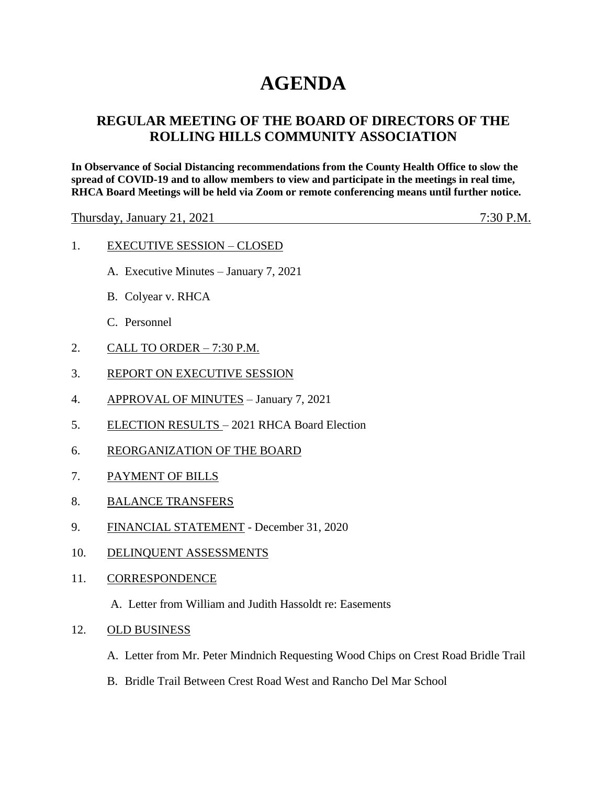## **AGENDA**

## **REGULAR MEETING OF THE BOARD OF DIRECTORS OF THE ROLLING HILLS COMMUNITY ASSOCIATION**

**In Observance of Social Distancing recommendations from the County Health Office to slow the spread of COVID-19 and to allow members to view and participate in the meetings in real time, RHCA Board Meetings will be held via Zoom or remote conferencing means until further notice.** 

Thursday, January 21, 2021 7:30 P.M.

- 1. EXECUTIVE SESSION CLOSED
	- A. Executive Minutes January 7, 2021
	- B. Colyear v. RHCA
	- C. Personnel
- 2. CALL TO ORDER 7:30 P.M.
- 3. REPORT ON EXECUTIVE SESSION
- 4. APPROVAL OF MINUTES January 7, 2021
- 5. ELECTION RESULTS 2021 RHCA Board Election
- 6. REORGANIZATION OF THE BOARD
- 7. PAYMENT OF BILLS
- 8. BALANCE TRANSFERS
- 9. FINANCIAL STATEMENT December 31, 2020
- 10. DELINQUENT ASSESSMENTS
- 11. CORRESPONDENCE
	- A. Letter from William and Judith Hassoldt re: Easements
- 12. OLD BUSINESS
	- A. Letter from Mr. Peter Mindnich Requesting Wood Chips on Crest Road Bridle Trail
	- B. Bridle Trail Between Crest Road West and Rancho Del Mar School